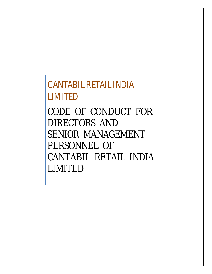*CANTABIL RETAIL INDIA LIMITED*

*CODE OF CONDUCT FOR DIRECTORS AND SENIOR MANAGEMENT PERSONNEL OF CANTABIL RETAIL INDIA LIMITED*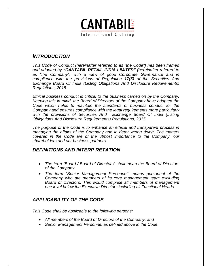

# *INTRODUCTION*

*.*

*This Code of Conduct (hereinafter referred to as "the Code") has been framed and adopted by "CANTABIL RETAIL INDIA LIMITED" (hereinafter referred to as "the Company") with a view of good Corporate Governance and in compliance with the provisions of Regulation 17(5) of the Securities And Exchange Board Of India (Listing Obligations And Disclosure Requirements) Regulations, 2015.*

*Ethical business conduct is critical to the business carried on by the Company. Keeping this in mind, the Board of Directors of the Company have adopted the Code which helps to maintain the standards of business conduct for the Company and ensures compliance with the legal requirements more particularly with the provisions of Securities And Exchange Board Of India (Listing Obligations And Disclosure Requirements) Regulations, 2015.*

*The purpose of the Code is to enhance an ethical and transparent process in managing the affairs of the Company and to deter wrong doing. The matters covered in the Code are of the utmost importance to the Company, our shareholders and our business partners.*

# *DEFINITIONS AND INTERP RETATION*

- *The term "Board / Board of Directors" shall mean the Board of Directors of the Company.*
- *The term "Senior Management Personnel" means personnel of the Company who are members of its core management team excluding Board of Directors. This would comprise all members of management one level below the Executive Directors including all Functional Heads.*

# *APPLICABILITY OF THE CODE*

*This Code shall be applicable to the following persons:*

- *All members of the Board of Directors of the Company; and*
- *Senior Management Personnel as defined above in the Code.*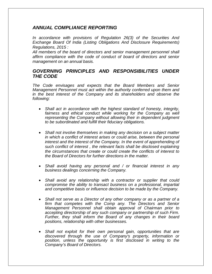# *ANNUAL COMPLIANCE REPORTING*

*In accordance with provisions of Regulation 26(3) of the Securities And Exchange Board Of India (Listing Obligations And Disclosure Requirements) Regulations, 2015 :* 

*All members of the board of directors and senior management personnel shall affirm compliance with the code of conduct of board of directors and senior management on an annual basis.*

#### *GOVERNING PRINCIPLES AND RESPONSIBILITIES UNDER THE CODE*

*The Code envisages and expects that the Board Members and Senior Management Personnel must act within the authority conferred upon them and in the best interest of the Company and its shareholders and observe the following:*

- *Shall act in accordance with the highest standard of honesty, integrity,*  fairness and ethical conduct while working for the Company as well *representing the Company without allowing their in dependent judgment to be subordinated and fulfill their fiduciary obligations.*
- *Shall not involve themselves in making any decision on a subject matter in which a conflict of interest arises or could arise, between the personal interest and the interest of the Company. In the event of apprehending of such conflict of interest , the relevant facts shall be disclosed explaining the circumstances that create or could create the conflicts of interest to the Board of Directors for further directions in the matter.*
- *Shall avoid having any personal and / or financial interest in any business dealings concerning the Company.*
- *Shall avoid any relationship with a contractor or supplier that could compromise the ability to transact business on a professional, impartial and competitive basis or influence decision to be made by the Company.*
- *Shall not serve as a Director of any other company or as a partner of a firm that competes with the Comp any. The Directors and Senior Management Personnel shall obtain approval of Chairman prior to accepting directorship of any such company or partnership of such Firm. Further, they shall inform the Board of any changes in their board positions, relationship with other businesses.*
- *Shall not exploit for their own personal gain, opportunities that are discovered through the use of Company's property, information or position, unless the opportunity is first disclosed in writing to the Company's Board of Directors.*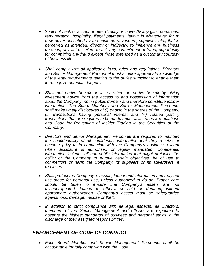- *Shall not seek or accept or offer directly or indirectly any gifts, donations, remuneration, hospitality, illegal payments, favour in whatsoever for m howsoever described by the customers, vendors, suppliers, etc., that is perceived as intended, directly or indirectly, to influence any business decision, any act or failure to act, any commitment of fraud, opportunity for committing any fraud except those extended as a customary courtesy of business life.*
- *Shall comply with all applicable laws, rules and regulations. Directors and Senior Management Personnel must acquire appropriate knowledge of the legal requirements relating to the duties sufficient to enable them to recognize potential dangers.*
- *Shall not derive benefit or assist others to derive benefit by giving investment advice from the access to and possession of information about the Company, not in public domain and therefore constitute insider information. The Board Members and Senior Management Personnel shall make timely disclosures of (i) trading in the shares of the Company, (ii) transactions having personal interest and (iii) related part y transactions that are required to be made under laws, rules & regulations and Code for Prevention of Insider Trading in the Securities of the Company.*
- *Directors and Senior Management Personnel are required to maintain the confidentiality of all confidential information that they receive or become privy to in connection with the Company's business, except when disclosure is authorised or legally mandated. Confidential information includes all non-public information that might prejudice the ability of the Company to pursue certain objectives, be of use to competitors or harm the Company, its suppliers or its advertisers, if disclosed.*
- *Shall protect the Company 's assets, labour and information and may not use these for personal use, unless authorized to do so. Proper care should be taken to ensure that Company's assets are not misappropriated, loaned to others, or sold or donated, without appropriate authorization. Company's assets must be safeguarded against loss, damage, misuse or theft.*
- *In addition to strict compliance with all legal aspects, all Directors, members of the Senior Management and officers are expected to observe the highest standards of business and personal ethics in the discharge of their assigned responsibilities.*

# *ENFORCEMENT OF CODE OF CONDUCT*

 *Each Board Member and Senior Management Personnel shall be accountable for fully complying with the Code.*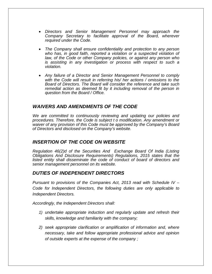- *Directors and Senior Management Personnel may approach the Company Secretary to facilitate approval of the Board, wherever required under the Code.*
- *The Company shall ensure confidentiality and protection to any person*  who has, in good faith, reported a violation or a suspected violation of *law, of the Code or other Company policies, or against any person who is assisting in any investigation or process with respect to such a violation.*
- *Any failure of a Director and Senior Management Personnel to comply with the Code will result in referring his/ her actions / omissions to the Board of Directors. The Board will consider the reference and take such remedial action as deemed fit by it including removal of the person in question from the Board / Office.*

#### *WAIVERS AND AMENDMENTS OF THE CODE*

*We are committed to continuously reviewing and updating our policies and procedures. Therefore, the Code is subject t o modification. Any amendment or waiver of any provision of this Code must be approved by the Company's Board of Directors and disclosed on the Company's website.*

#### *INSERTION OF THE CODE ON WEBSITE*

*Regulation 46(2)d of the Securities And Exchange Board Of India (Listing Obligations And Disclosure Requirements) Regulations, 2015 states that the listed entity shall disseminate the code of conduct of board of directors and senior management personnel on its website.*

#### *DUTIES OF INDEPENDENT DIRECTORS*

*Pursuant to provisions of the Companies Act, 2013 read with Schedule IV – Code for Independent Directors, the following duties are only applicable to Independent Directors.*

*Accordingly, the Independent Directors shall:*

- *1) undertake appropriate induction and regularly update and refresh their skills, knowledge and familiarity with the company;*
- *2) seek appropriate clarification or amplification of information and, where necessary, take and follow appropriate professional advice and opinion of outside experts at the expense of the company ;*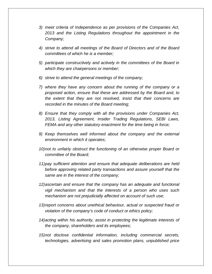- *3) meet criteria of Independence as per provisions of the Companies Act, 2013 and the Listing Regulations throughout the appointment in the Company;*
- *4) strive to attend all meetings of the Board of Directors and of the Board committees of which he is a member;*
- *5) participate constructively and actively in the committees of the Board in which they are chairpersons or member;*
- *6) strive to attend the general meetings of the company;*
- *7) where they have any concern about the running of the company or a proposed action, ensure that these are addressed by the Board and, to the extent that they are not resolved, insist that their concerns are recorded in the minutes of the Board meeting;*
- *8) Ensure that they comply with all the provisions under Companies Act, 2013, Listing Agreement, Insider Trading Regulations, SEBI Laws, FEMA and any other statutory enactment for the time being in force;*
- *9) Keep themselves well informed about the company and the external environment in which it operates;*
- *10)not to unfairly obstruct the functioning of an otherwise proper Board or committee of the Board;*
- *11)pay sufficient attention and ensure that adequate deliberations are held before approving related party transactions and assure yourself that the same are in the interest of the company;*
- *12)ascertain and ensure that the company has an adequate and functional vigil mechanism and that the interests of a person who uses such mechanism are not prejudicially affected on account of such use;*
- 13)report concerns about unethical behaviour, actual or suspected fraud or *violation of the company's code of conduct or ethics policy;*
- *14)acting within his authority, assist in protecting the legitimate interests of the company, shareholders and its employees;*
- *15)not disclose confidential information, including commercial secrets, technologies, advertising and sales promotion plans, unpublished price*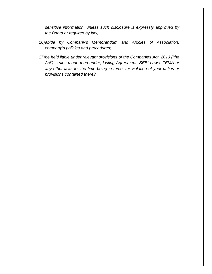*sensitive information, unless such disclosure is expressly approved by the Board or required by law;*

- *16)abide by Company's Memorandum and Articles of Association, company's policies and procedures;*
- *17)be held liable under relevant provisions of the Companies Act, 2013 ('the Act') , rules made thereunder, Listing Agreement, SEBI Laws, FEMA or any other laws for the time being in force, for violation of your duties or provisions contained therein.*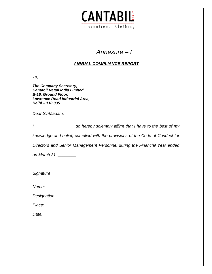

# *Annexure – I*

# *ANNUAL COMPLIANCE REPORT*

*To,*

*The Company Secretary, Cantabil Retail India Limited, B-16, Ground Floor, Lawrence Road Industrial Area, Delhi – 110 035*

*Dear Sir/Madam,*

*I,\_\_\_\_\_\_\_\_\_\_\_\_\_\_\_\_\_ do hereby solemnly affirm that I have to the best of my* 

*knowledge and belief, complied with the provisions of the Code of Conduct for* 

*Directors and Senior Management Personnel during the Financial Year ended* 

*on March 31, \_\_\_\_\_\_\_\_.*

*Signature*

*Name:*

*Designation:*

*Place:*

*Date:*